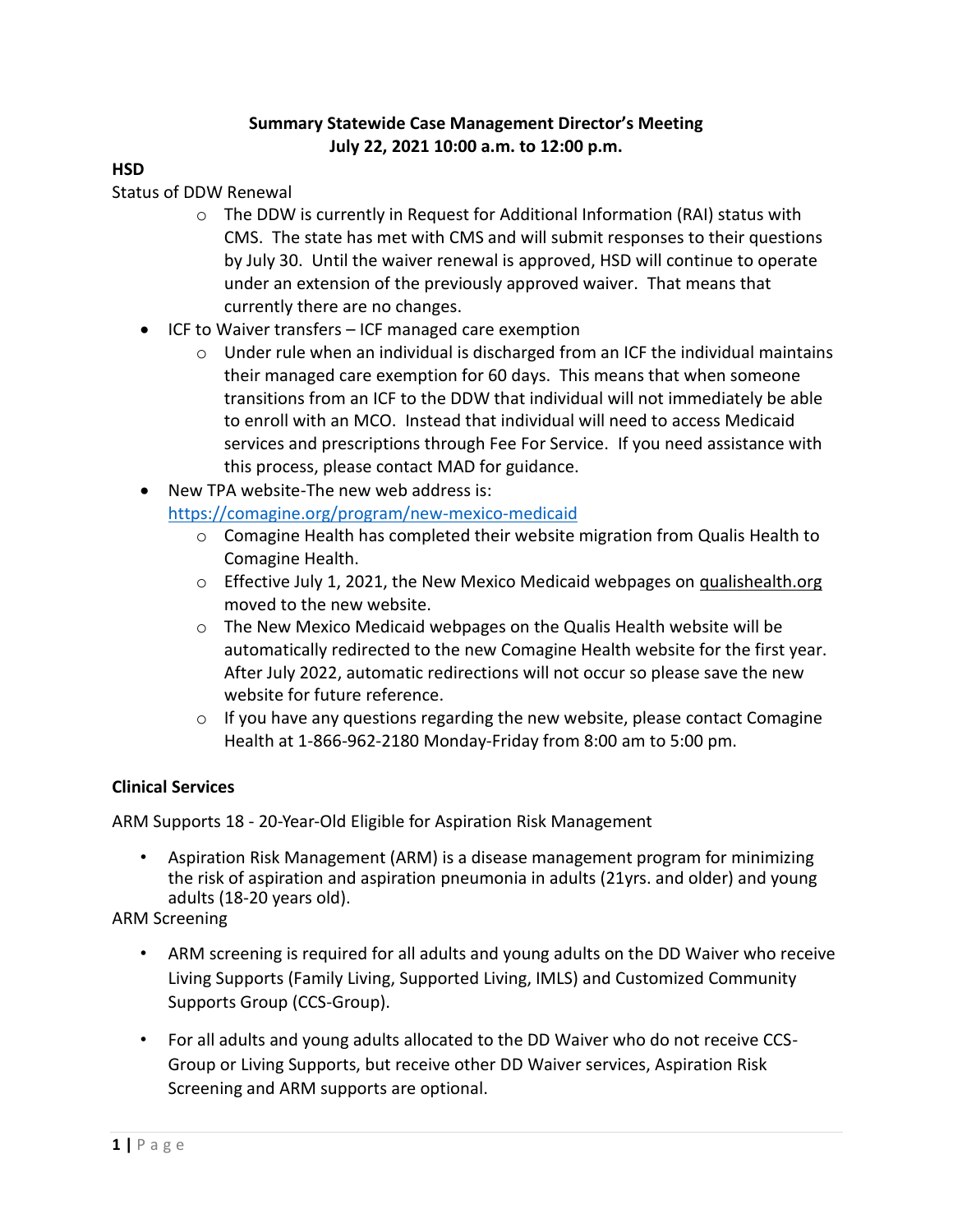# **Summary Statewide Case Management Director's Meeting July 22, 2021 10:00 a.m. to 12:00 p.m.**

## **HSD**

Status of DDW Renewal

- $\circ$  The DDW is currently in Request for Additional Information (RAI) status with CMS. The state has met with CMS and will submit responses to their questions by July 30. Until the waiver renewal is approved, HSD will continue to operate under an extension of the previously approved waiver. That means that currently there are no changes.
- ICF to Waiver transfers ICF managed care exemption
	- $\circ$  Under rule when an individual is discharged from an ICF the individual maintains their managed care exemption for 60 days. This means that when someone transitions from an ICF to the DDW that individual will not immediately be able to enroll with an MCO. Instead that individual will need to access Medicaid services and prescriptions through Fee For Service. If you need assistance with this process, please contact MAD for guidance.
- New TPA website-The new web address is:

<https://comagine.org/program/new-mexico-medicaid>

- o Comagine Health has completed their website migration from Qualis Health to Comagine Health.
- o Effective July 1, 2021, the New Mexico Medicaid webpages on [qualishealth.org](https://protect-us.mimecast.com/s/KpraCZ6oMlTnlKK7Hjh7OQ?domain=qualishealth.org) moved to the new website.
- $\circ$  The New Mexico Medicaid webpages on the Qualis Health website will be automatically redirected to the new Comagine Health website for the first year. After July 2022, automatic redirections will not occur so please save the new website for future reference.
- o If you have any questions regarding the new website, please contact Comagine Health at 1-866-962-2180 Monday-Friday from 8:00 am to 5:00 pm.

## **Clinical Services**

ARM Supports 18 - 20-Year-Old Eligible for Aspiration Risk Management

• Aspiration Risk Management (ARM) is a disease management program for minimizing the risk of aspiration and aspiration pneumonia in adults (21yrs. and older) and young adults (18-20 years old).

ARM Screening

- ARM screening is required for all adults and young adults on the DD Waiver who receive Living Supports (Family Living, Supported Living, IMLS) and Customized Community Supports Group (CCS-Group).
- For all adults and young adults allocated to the DD Waiver who do not receive CCS-Group or Living Supports, but receive other DD Waiver services, Aspiration Risk Screening and ARM supports are optional.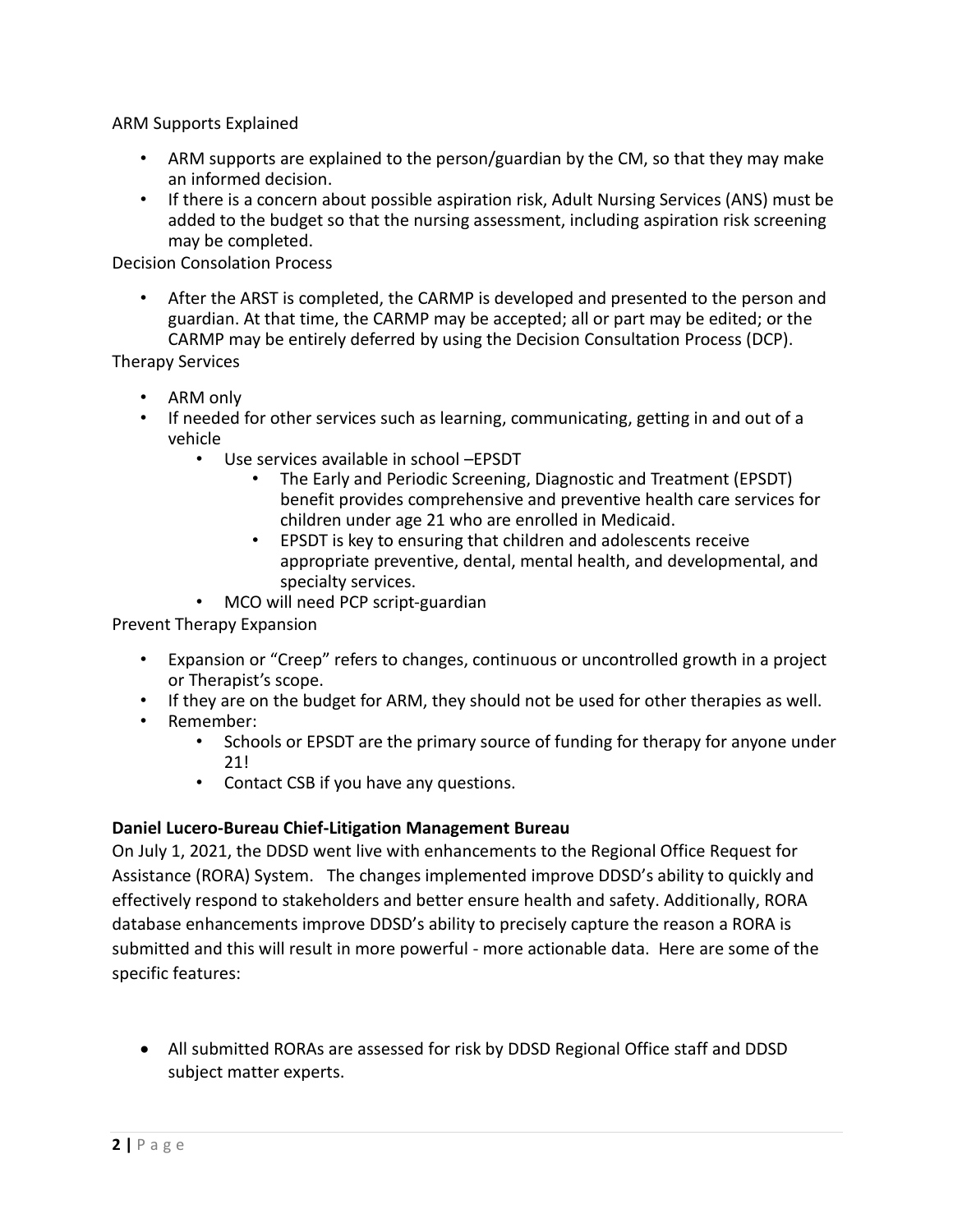ARM Supports Explained

- ARM supports are explained to the person/guardian by the CM, so that they may make an informed decision.
- If there is a concern about possible aspiration risk, Adult Nursing Services (ANS) must be added to the budget so that the nursing assessment, including aspiration risk screening may be completed.

Decision Consolation Process

• After the ARST is completed, the CARMP is developed and presented to the person and guardian. At that time, the CARMP may be accepted; all or part may be edited; or the CARMP may be entirely deferred by using the Decision Consultation Process (DCP).

Therapy Services

- ARM only
- If needed for other services such as learning, communicating, getting in and out of a vehicle
	- Use services available in school –EPSDT
		- The Early and Periodic Screening, Diagnostic and Treatment (EPSDT) benefit provides comprehensive and preventive health care services for children under age 21 who are enrolled in Medicaid.
		- EPSDT is key to ensuring that children and adolescents receive appropriate preventive, dental, mental health, and developmental, and specialty services.
	- MCO will need PCP script-guardian

Prevent Therapy Expansion

- Expansion or "Creep" refers to changes, continuous or uncontrolled growth in a project or Therapist's scope.
- If they are on the budget for ARM, they should not be used for other therapies as well.
- Remember:
	- Schools or EPSDT are the primary source of funding for therapy for anyone under 21!
	- Contact CSB if you have any questions.

#### **Daniel Lucero-Bureau Chief-Litigation Management Bureau**

On July 1, 2021, the DDSD went live with enhancements to the Regional Office Request for Assistance (RORA) System. The changes implemented improve DDSD's ability to quickly and effectively respond to stakeholders and better ensure health and safety. Additionally, RORA database enhancements improve DDSD's ability to precisely capture the reason a RORA is submitted and this will result in more powerful - more actionable data. Here are some of the specific features:

• All submitted RORAs are assessed for risk by DDSD Regional Office staff and DDSD subject matter experts.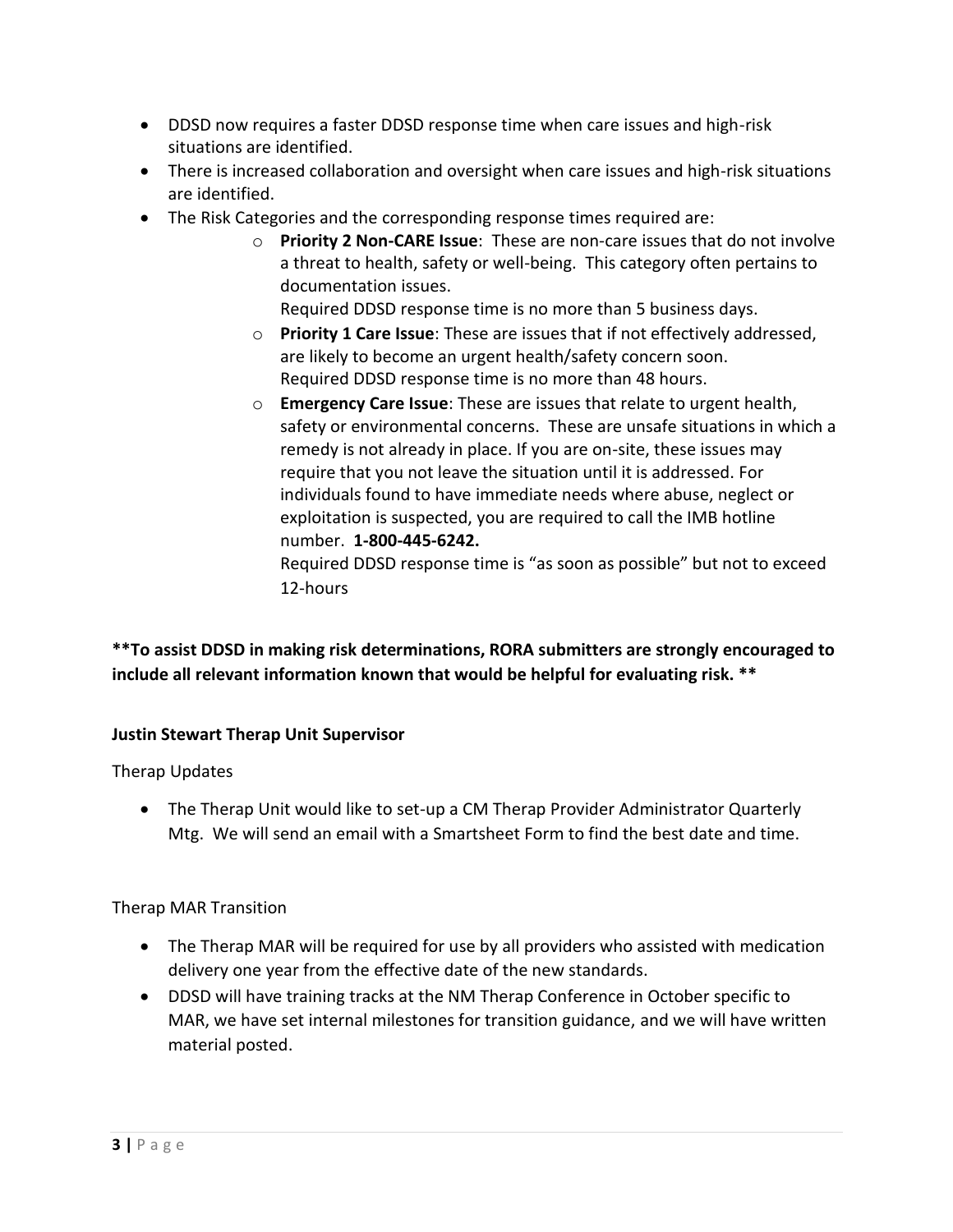- DDSD now requires a faster DDSD response time when care issues and high-risk situations are identified.
- There is increased collaboration and oversight when care issues and high-risk situations are identified.
- The Risk Categories and the corresponding response times required are:
	- o **Priority 2 Non-CARE Issue**: These are non-care issues that do not involve a threat to health, safety or well-being. This category often pertains to documentation issues.

Required DDSD response time is no more than 5 business days.

- o **Priority 1 Care Issue**: These are issues that if not effectively addressed, are likely to become an urgent health/safety concern soon. Required DDSD response time is no more than 48 hours.
- o **Emergency Care Issue**: These are issues that relate to urgent health, safety or environmental concerns. These are unsafe situations in which a remedy is not already in place. If you are on-site, these issues may require that you not leave the situation until it is addressed. For individuals found to have immediate needs where abuse, neglect or exploitation is suspected, you are required to call the IMB hotline number. **1-800-445-6242.**

Required DDSD response time is "as soon as possible" but not to exceed 12-hours

**\*\*To assist DDSD in making risk determinations, RORA submitters are strongly encouraged to include all relevant information known that would be helpful for evaluating risk. \*\***

## **Justin Stewart Therap Unit Supervisor**

Therap Updates

• The Therap Unit would like to set-up a CM Therap Provider Administrator Quarterly Mtg. We will send an email with a Smartsheet Form to find the best date and time.

Therap MAR Transition

- The Therap MAR will be required for use by all providers who assisted with medication delivery one year from the effective date of the new standards.
- DDSD will have training tracks at the NM Therap Conference in October specific to MAR, we have set internal milestones for transition guidance, and we will have written material posted.